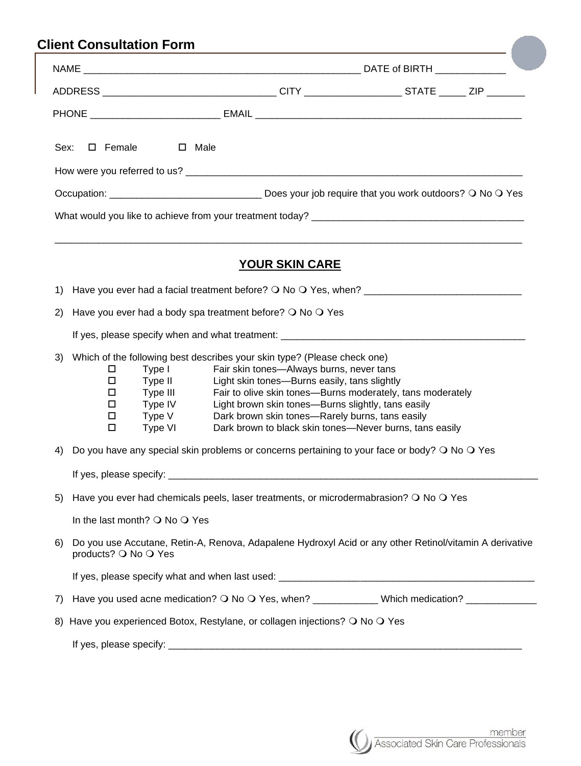|                                                 | ADDRESS __________________________________CITY ____________________STATE ______ ZIP ________                     |  |  |  |  |  |  |  |
|-------------------------------------------------|------------------------------------------------------------------------------------------------------------------|--|--|--|--|--|--|--|
|                                                 |                                                                                                                  |  |  |  |  |  |  |  |
| □ Female<br>Sex:                                | $\square$ Male                                                                                                   |  |  |  |  |  |  |  |
|                                                 |                                                                                                                  |  |  |  |  |  |  |  |
|                                                 |                                                                                                                  |  |  |  |  |  |  |  |
|                                                 |                                                                                                                  |  |  |  |  |  |  |  |
|                                                 |                                                                                                                  |  |  |  |  |  |  |  |
|                                                 |                                                                                                                  |  |  |  |  |  |  |  |
|                                                 | <b>YOUR SKIN CARE</b>                                                                                            |  |  |  |  |  |  |  |
|                                                 |                                                                                                                  |  |  |  |  |  |  |  |
| 2)                                              | Have you ever had a body spa treatment before? $\bigcirc$ No $\bigcirc$ Yes                                      |  |  |  |  |  |  |  |
|                                                 |                                                                                                                  |  |  |  |  |  |  |  |
| 3)                                              | Which of the following best describes your skin type? (Please check one)                                         |  |  |  |  |  |  |  |
| □                                               | Fair skin tones-Always burns, never tans<br>Type I                                                               |  |  |  |  |  |  |  |
|                                                 | □<br>Type II<br>Light skin tones-Burns easily, tans slightly                                                     |  |  |  |  |  |  |  |
| Type III<br>□<br>Type IV<br>□                   | Fair to olive skin tones—Burns moderately, tans moderately<br>Light brown skin tones—Burns slightly, tans easily |  |  |  |  |  |  |  |
| Type V<br>□                                     | Dark brown skin tones-Rarely burns, tans easily                                                                  |  |  |  |  |  |  |  |
| $\Box$<br>Type VI                               | Dark brown to black skin tones-Never burns, tans easily                                                          |  |  |  |  |  |  |  |
| 4)                                              | Do you have any special skin problems or concerns pertaining to your face or body? $\bigcirc$ No $\bigcirc$ Yes  |  |  |  |  |  |  |  |
|                                                 |                                                                                                                  |  |  |  |  |  |  |  |
| 5)                                              | Have you ever had chemicals peels, laser treatments, or microdermabrasion? O No O Yes                            |  |  |  |  |  |  |  |
| In the last month? $\bigcirc$ No $\bigcirc$ Yes |                                                                                                                  |  |  |  |  |  |  |  |
| 6)<br>products? O No O Yes                      | Do you use Accutane, Retin-A, Renova, Adapalene Hydroxyl Acid or any other Retinol/vitamin A derivative          |  |  |  |  |  |  |  |
|                                                 |                                                                                                                  |  |  |  |  |  |  |  |
| 7)                                              | Have you used acne medication? O No O Yes, when? ____________ Which medication? _____________                    |  |  |  |  |  |  |  |
| 8)                                              | Have you experienced Botox, Restylane, or collagen injections? O No O Yes                                        |  |  |  |  |  |  |  |
|                                                 |                                                                                                                  |  |  |  |  |  |  |  |

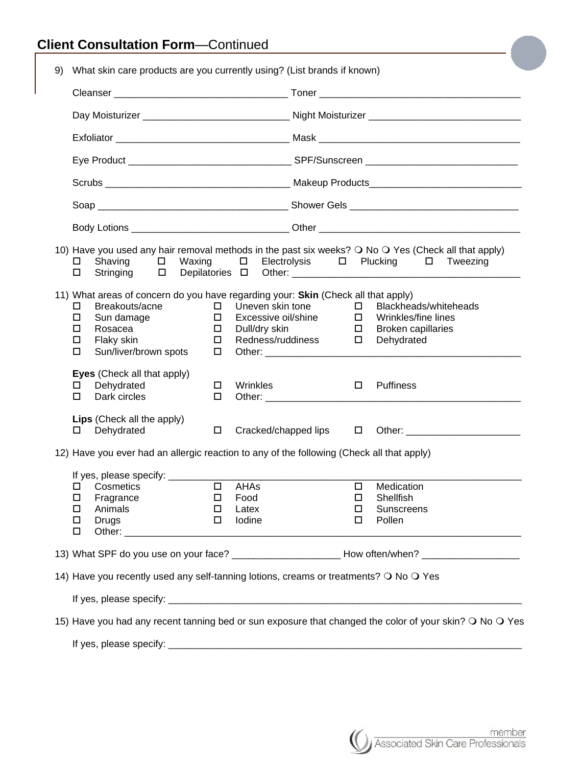| 9)                                                                                                      |                                                                                                                                                                                | What skin care products are you currently using? (List brands if known)                                                                                                                                 |                                                |                                                                               |  |                                      |                                                                                         |  |  |
|---------------------------------------------------------------------------------------------------------|--------------------------------------------------------------------------------------------------------------------------------------------------------------------------------|---------------------------------------------------------------------------------------------------------------------------------------------------------------------------------------------------------|------------------------------------------------|-------------------------------------------------------------------------------|--|--------------------------------------|-----------------------------------------------------------------------------------------|--|--|
|                                                                                                         |                                                                                                                                                                                |                                                                                                                                                                                                         |                                                |                                                                               |  |                                      |                                                                                         |  |  |
|                                                                                                         |                                                                                                                                                                                |                                                                                                                                                                                                         |                                                |                                                                               |  |                                      |                                                                                         |  |  |
|                                                                                                         |                                                                                                                                                                                |                                                                                                                                                                                                         |                                                |                                                                               |  |                                      |                                                                                         |  |  |
|                                                                                                         |                                                                                                                                                                                |                                                                                                                                                                                                         |                                                |                                                                               |  |                                      |                                                                                         |  |  |
|                                                                                                         |                                                                                                                                                                                |                                                                                                                                                                                                         |                                                |                                                                               |  |                                      |                                                                                         |  |  |
|                                                                                                         |                                                                                                                                                                                |                                                                                                                                                                                                         |                                                |                                                                               |  |                                      |                                                                                         |  |  |
|                                                                                                         |                                                                                                                                                                                |                                                                                                                                                                                                         |                                                |                                                                               |  |                                      |                                                                                         |  |  |
|                                                                                                         | 10) Have you used any hair removal methods in the past six weeks? O No O Yes (Check all that apply)<br>□ Electrolysis □ Plucking □ Tweezing<br>Shaving $\Box$ Waxing<br>0<br>□ |                                                                                                                                                                                                         |                                                |                                                                               |  |                                      |                                                                                         |  |  |
|                                                                                                         | $\Box$<br>□<br>□<br>□<br>□                                                                                                                                                     | 11) What areas of concern do you have regarding your: Skin (Check all that apply)<br>Breakouts/acne<br>Sun damage<br>Rosacea<br>Flaky skin<br>Sun/liver/brown spots                                     | $\Box$<br>$\Box$<br>$\Box$<br>$\Box$<br>$\Box$ | Uneven skin tone<br>Excessive oil/shine<br>Dull/dry skin<br>Redness/ruddiness |  | $\Box$<br>$\Box$<br>$\Box$<br>$\Box$ | Blackheads/whiteheads<br>Wrinkles/fine lines<br><b>Broken capillaries</b><br>Dehydrated |  |  |
|                                                                                                         | 0                                                                                                                                                                              | Eyes (Check all that apply)<br>Dehydrated<br>Dark circles                                                                                                                                               | $\Box$                                         | Wrinkles                                                                      |  | $\Box$                               | Puffiness                                                                               |  |  |
|                                                                                                         |                                                                                                                                                                                | Lips (Check all the apply)<br>Dehydrated                                                                                                                                                                | $\Box$                                         |                                                                               |  |                                      |                                                                                         |  |  |
|                                                                                                         | 12) Have you ever had an allergic reaction to any of the following (Check all that apply)                                                                                      |                                                                                                                                                                                                         |                                                |                                                                               |  |                                      |                                                                                         |  |  |
|                                                                                                         | □<br>□<br>□<br>□                                                                                                                                                               | If yes, please specify: ___________<br>Cosmetics<br>□ Fragrance<br>and the control of the control of the control of the control of the control of the control of the control of the<br>Animals<br>Drugs | $\Box$<br>$\Box$                               | $\Box$ AHAs<br>Food<br>Latex<br>Iodine                                        |  | $\Box$<br>$\Box$<br>$\Box$<br>□      | Medication<br>Shellfish<br>Sunscreens<br>Pollen                                         |  |  |
|                                                                                                         | 13) What SPF do you use on your face? _________________________ How often/when? ____________________                                                                           |                                                                                                                                                                                                         |                                                |                                                                               |  |                                      |                                                                                         |  |  |
| 14) Have you recently used any self-tanning lotions, creams or treatments? O No O Yes                   |                                                                                                                                                                                |                                                                                                                                                                                                         |                                                |                                                                               |  |                                      |                                                                                         |  |  |
|                                                                                                         |                                                                                                                                                                                |                                                                                                                                                                                                         |                                                |                                                                               |  |                                      |                                                                                         |  |  |
| 15) Have you had any recent tanning bed or sun exposure that changed the color of your skin? O No O Yes |                                                                                                                                                                                |                                                                                                                                                                                                         |                                                |                                                                               |  |                                      |                                                                                         |  |  |
|                                                                                                         |                                                                                                                                                                                |                                                                                                                                                                                                         |                                                |                                                                               |  |                                      |                                                                                         |  |  |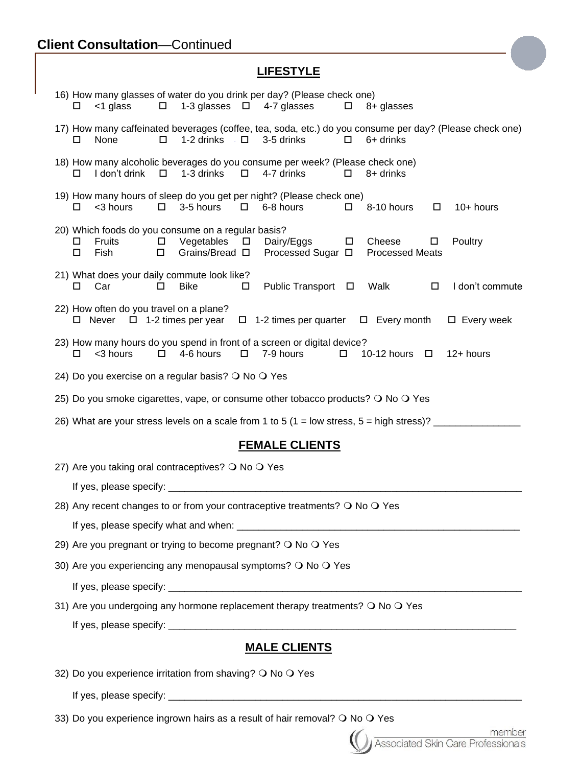## **LIFESTYLE**

| 16) How many glasses of water do you drink per day? (Please check one)<br>$\Box$ 1-3 glasses $\Box$ 4-7 glasses<br>$<$ 1 glass<br>$\Box$<br>8+ glasses                                                                                  |  |  |  |  |  |  |  |  |
|-----------------------------------------------------------------------------------------------------------------------------------------------------------------------------------------------------------------------------------------|--|--|--|--|--|--|--|--|
| 17) How many caffeinated beverages (coffee, tea, soda, etc.) do you consume per day? (Please check one)<br>None<br>1-2 drinks $\square$ 3-5 drinks<br>$\Box$<br>6+ drinks<br>$\Box$<br>□                                                |  |  |  |  |  |  |  |  |
| 18) How many alcoholic beverages do you consume per week? (Please check one)<br>I don't drink<br>1-3 drinks<br>$\Box$<br>4-7 drinks<br>$\Box$<br>$\Box$ 8+ drinks<br>□                                                                  |  |  |  |  |  |  |  |  |
| 19) How many hours of sleep do you get per night? (Please check one)<br>3-5 hours<br><3 hours<br>$\Box$<br>$\Box$<br>6-8 hours<br>8-10 hours<br>10+ hours<br>$\Box$<br>$\Box$                                                           |  |  |  |  |  |  |  |  |
| 20) Which foods do you consume on a regular basis?<br>Fruits<br>Vegetables $\Box$ Dairy/Eggs<br>Poultry<br>$\Box$<br>$\Box$<br>Cheese<br>□<br>$\Box$<br>$\Box$<br>Grains/Bread □<br>Processed Sugar □ Processed Meats<br>Fish<br>$\Box$ |  |  |  |  |  |  |  |  |
| 21) What does your daily commute look like?<br>Public Transport □<br>Car<br><b>Bike</b><br>Walk<br>I don't commute<br>0<br>$\Box$<br>$\Box$<br>0                                                                                        |  |  |  |  |  |  |  |  |
| 22) How often do you travel on a plane?<br>$\Box$ Never $\Box$ 1-2 times per year $\Box$ 1-2 times per quarter $\Box$ Every month $\Box$ Every week                                                                                     |  |  |  |  |  |  |  |  |
| 23) How many hours do you spend in front of a screen or digital device?<br>4-6 hours<br>$\Box$<br>7-9 hours<br><3 hours<br>$\Box$<br>10-12 hours $\Box$<br>12+ hours<br>$\Box$                                                          |  |  |  |  |  |  |  |  |
| 24) Do you exercise on a regular basis? O No O Yes                                                                                                                                                                                      |  |  |  |  |  |  |  |  |
| 25) Do you smoke cigarettes, vape, or consume other tobacco products? O No O Yes                                                                                                                                                        |  |  |  |  |  |  |  |  |
| 26) What are your stress levels on a scale from 1 to 5 (1 = low stress, 5 = high stress)? _________                                                                                                                                     |  |  |  |  |  |  |  |  |
| <b>FEMALE CLIENTS</b>                                                                                                                                                                                                                   |  |  |  |  |  |  |  |  |
| 27) Are you taking oral contraceptives? O No O Yes                                                                                                                                                                                      |  |  |  |  |  |  |  |  |
|                                                                                                                                                                                                                                         |  |  |  |  |  |  |  |  |
| 28) Any recent changes to or from your contraceptive treatments? O No O Yes                                                                                                                                                             |  |  |  |  |  |  |  |  |
|                                                                                                                                                                                                                                         |  |  |  |  |  |  |  |  |
| 29) Are you pregnant or trying to become pregnant? O No O Yes                                                                                                                                                                           |  |  |  |  |  |  |  |  |
| 30) Are you experiencing any menopausal symptoms? O No O Yes                                                                                                                                                                            |  |  |  |  |  |  |  |  |
|                                                                                                                                                                                                                                         |  |  |  |  |  |  |  |  |
| 31) Are you undergoing any hormone replacement therapy treatments? O No O Yes                                                                                                                                                           |  |  |  |  |  |  |  |  |
|                                                                                                                                                                                                                                         |  |  |  |  |  |  |  |  |
| <b>MALE CLIENTS</b>                                                                                                                                                                                                                     |  |  |  |  |  |  |  |  |
| 32) Do you experience irritation from shaving? O No O Yes                                                                                                                                                                               |  |  |  |  |  |  |  |  |
|                                                                                                                                                                                                                                         |  |  |  |  |  |  |  |  |
| 33) Do vou experience ingrown bairs as a result of bair removal? $\Omega$ No $\Omega$ Yes                                                                                                                                               |  |  |  |  |  |  |  |  |